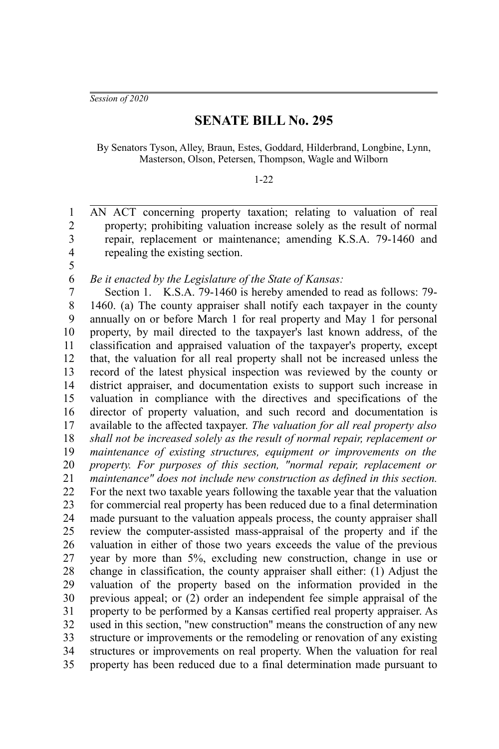*Session of 2020*

5

## **SENATE BILL No. 295**

By Senators Tyson, Alley, Braun, Estes, Goddard, Hilderbrand, Longbine, Lynn, Masterson, Olson, Petersen, Thompson, Wagle and Wilborn

## 1-22

AN ACT concerning property taxation; relating to valuation of real property; prohibiting valuation increase solely as the result of normal repair, replacement or maintenance; amending K.S.A. 79-1460 and repealing the existing section. 1 2 3 4

*Be it enacted by the Legislature of the State of Kansas:* 6

Section 1. K.S.A. 79-1460 is hereby amended to read as follows: 79- 1460. (a) The county appraiser shall notify each taxpayer in the county annually on or before March 1 for real property and May 1 for personal property, by mail directed to the taxpayer's last known address, of the classification and appraised valuation of the taxpayer's property, except that, the valuation for all real property shall not be increased unless the record of the latest physical inspection was reviewed by the county or district appraiser, and documentation exists to support such increase in valuation in compliance with the directives and specifications of the director of property valuation, and such record and documentation is available to the affected taxpayer. *The valuation for all real property also shall not be increased solely as the result of normal repair, replacement or maintenance of existing structures, equipment or improvements on the property. For purposes of this section, "normal repair, replacement or maintenance" does not include new construction as defined in this section.* For the next two taxable years following the taxable year that the valuation for commercial real property has been reduced due to a final determination made pursuant to the valuation appeals process, the county appraiser shall review the computer-assisted mass-appraisal of the property and if the valuation in either of those two years exceeds the value of the previous year by more than 5%, excluding new construction, change in use or change in classification, the county appraiser shall either: (1) Adjust the valuation of the property based on the information provided in the previous appeal; or (2) order an independent fee simple appraisal of the property to be performed by a Kansas certified real property appraiser. As used in this section, "new construction" means the construction of any new structure or improvements or the remodeling or renovation of any existing structures or improvements on real property. When the valuation for real property has been reduced due to a final determination made pursuant to 7 8 9 10 11 12 13 14 15 16 17 18 19 20 21 22 23 24 25 26 27 28 29 30 31 32 33 34 35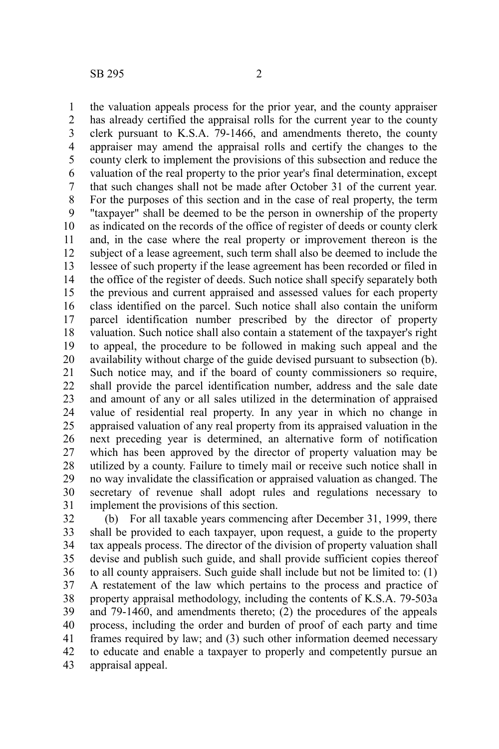the valuation appeals process for the prior year, and the county appraiser has already certified the appraisal rolls for the current year to the county clerk pursuant to K.S.A. 79-1466, and amendments thereto, the county appraiser may amend the appraisal rolls and certify the changes to the county clerk to implement the provisions of this subsection and reduce the valuation of the real property to the prior year's final determination, except that such changes shall not be made after October 31 of the current year. For the purposes of this section and in the case of real property, the term "taxpayer" shall be deemed to be the person in ownership of the property as indicated on the records of the office of register of deeds or county clerk and, in the case where the real property or improvement thereon is the subject of a lease agreement, such term shall also be deemed to include the lessee of such property if the lease agreement has been recorded or filed in the office of the register of deeds. Such notice shall specify separately both the previous and current appraised and assessed values for each property class identified on the parcel. Such notice shall also contain the uniform parcel identification number prescribed by the director of property valuation. Such notice shall also contain a statement of the taxpayer's right to appeal, the procedure to be followed in making such appeal and the availability without charge of the guide devised pursuant to subsection (b). Such notice may, and if the board of county commissioners so require, shall provide the parcel identification number, address and the sale date and amount of any or all sales utilized in the determination of appraised value of residential real property. In any year in which no change in appraised valuation of any real property from its appraised valuation in the next preceding year is determined, an alternative form of notification which has been approved by the director of property valuation may be utilized by a county. Failure to timely mail or receive such notice shall in no way invalidate the classification or appraised valuation as changed. The secretary of revenue shall adopt rules and regulations necessary to implement the provisions of this section. 1 2 3 4 5 6 7 8 9 10 11 12 13 14 15 16 17 18 19 20 21 22 23 24 25 26 27 28 29 30 31

(b) For all taxable years commencing after December 31, 1999, there shall be provided to each taxpayer, upon request, a guide to the property tax appeals process. The director of the division of property valuation shall devise and publish such guide, and shall provide sufficient copies thereof to all county appraisers. Such guide shall include but not be limited to: (1) A restatement of the law which pertains to the process and practice of property appraisal methodology, including the contents of K.S.A. 79-503a and 79-1460, and amendments thereto; (2) the procedures of the appeals process, including the order and burden of proof of each party and time frames required by law; and (3) such other information deemed necessary to educate and enable a taxpayer to properly and competently pursue an appraisal appeal. 32 33 34 35 36 37 38 39 40 41 42 43